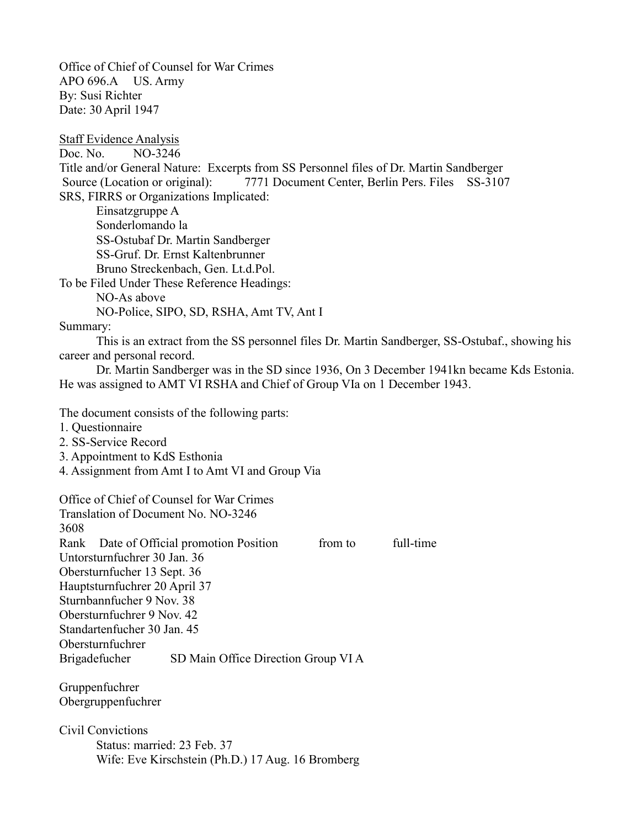Office of Chief of Counsel for War Crimes APO 696.A US. Army By: Susi Richter Date: 30 April 1947

Staff Evidence Analysis Doc. No. NO-3246 Title and/or General Nature: Excerpts from SS Personnel files of Dr. Martin Sandberger Source (Location or original): 7771 Document Center, Berlin Pers. Files SS-3107 SRS, FIRRS or Organizations Implicated: Einsatzgruppe A Sonderlomando la SS-Ostubaf Dr. Martin Sandberger SS-Gruf. Dr. Ernst Kaltenbrunner Bruno Streckenbach, Gen. Lt.d.Pol. To be Filed Under These Reference Headings: NO-As above NO-Police, SIPO, SD, RSHA, Amt TV, Ant I Summary: This is an extract from the SS personnel files Dr. Martin Sandberger, SS-Ostubaf., showing his career and personal record. Dr. Martin Sandberger was in the SD since 1936, On 3 December 1941kn became Kds Estonia. He was assigned to AMT VI RSHA and Chief of Group VIa on 1 December 1943. The document consists of the following parts: 1. Questionnaire 2. SS-Service Record 3. Appointment to KdS Esthonia 4. Assignment from Amt I to Amt VI and Group Via Office of Chief of Counsel for War Crimes Translation of Document No. NO-3246 3608 Rank Date of Official promotion Position from to full-time Untorsturnfuchrer 30 Jan. 36 Obersturnfucher 13 Sept. 36 Hauptsturnfuchrer 20 April 37 Sturnbannfucher 9 Nov. 38 Obersturnfuchrer 9 Nov. 42 Standartenfucher 30 Jan. 45 Obersturnfuchrer Brigadefucher SD Main Office Direction Group VI A Gruppenfuchrer

Obergruppenfuchrer

Civil Convictions Status: married: 23 Feb. 37 Wife: Eve Kirschstein (Ph.D.) 17 Aug. 16 Bromberg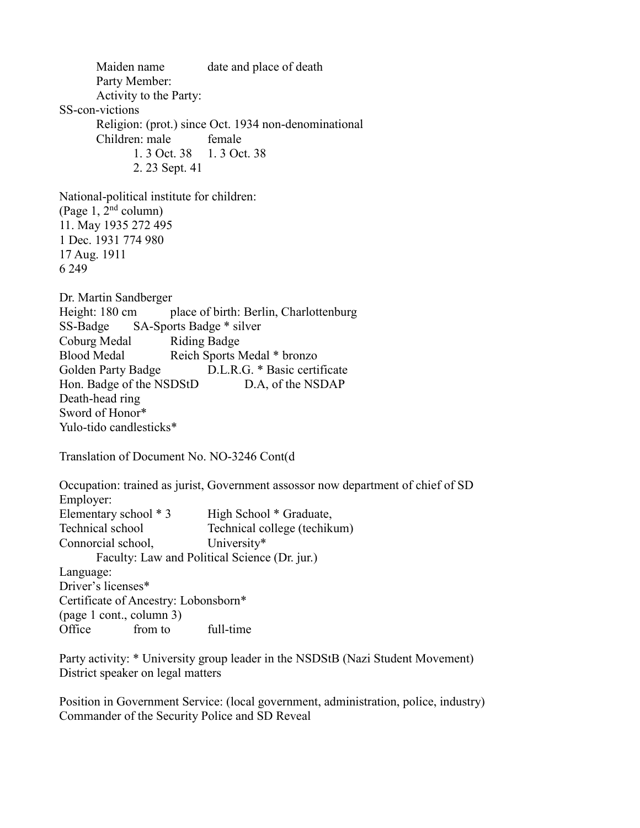Maiden name date and place of death Party Member: Activity to the Party: SS-con-victions Religion: (prot.) since Oct. 1934 non-denominational Children: male female 1. 3 Oct. 38 1. 3 Oct. 38 2. 23 Sept. 41 National-political institute for children: (Page 1,  $2<sup>nd</sup>$  column) 11. May 1935 272 495 1 Dec. 1931 774 980 17 Aug. 1911 6 249 Dr. Martin Sandberger Height: 180 cm place of birth: Berlin, Charlottenburg SS-Badge SA-Sports Badge \* silver Coburg Medal Riding Badge Blood Medal Reich Sports Medal \* bronzo Golden Party Badge D.L.R.G. \* Basic certificate Hon. Badge of the NSDStD D.A, of the NSDAP Death-head ring Sword of Honor\* Yulo-tido candlesticks\* Translation of Document No. NO-3246 Cont(d Occupation: trained as jurist, Government assossor now department of chief of SD Employer: Elementary school \* 3 High School \* Graduate, Technical school Technical college (techikum) Connorcial school, University\* Faculty: Law and Political Science (Dr. jur.) Language: Driver's licenses\* Certificate of Ancestry: Lobonsborn\* (page 1 cont., column 3) Office from to full-time

Party activity: \* University group leader in the NSDStB (Nazi Student Movement) District speaker on legal matters

Position in Government Service: (local government, administration, police, industry) Commander of the Security Police and SD Reveal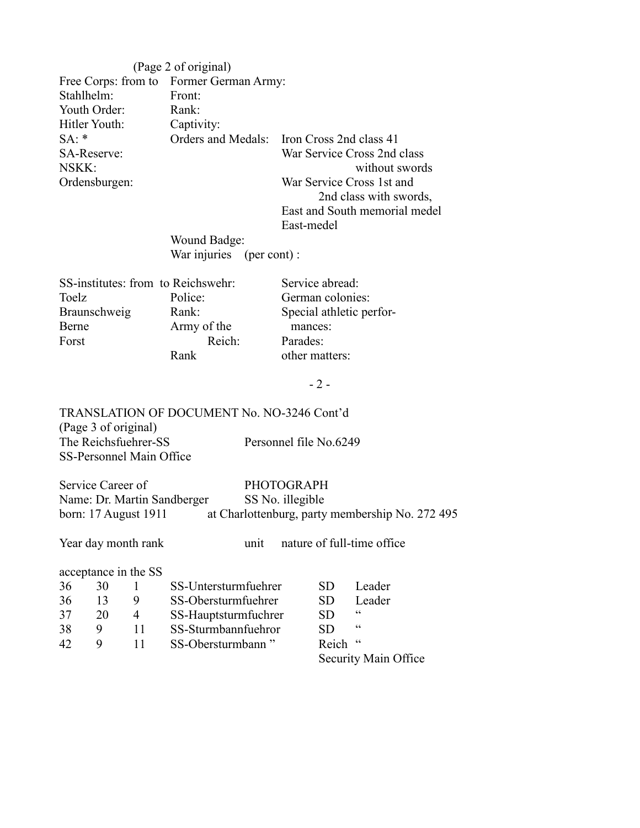|                                    | (Page 2 of original)                    |                                                     |  |  |
|------------------------------------|-----------------------------------------|-----------------------------------------------------|--|--|
|                                    | Free Corps: from to Former German Army: |                                                     |  |  |
| Stahlhelm:                         | Front:                                  |                                                     |  |  |
| Youth Order:                       | Rank:                                   |                                                     |  |  |
| Hitler Youth:                      | Captivity:                              |                                                     |  |  |
| $SA:$ *                            | Orders and Medals:                      | Iron Cross 2nd class 41                             |  |  |
| SA-Reserve:<br>NSKK:               |                                         | War Service Cross 2nd class<br>without swords       |  |  |
| Ordensburgen:                      |                                         | War Service Cross 1st and<br>2nd class with swords, |  |  |
|                                    |                                         | East and South memorial medel                       |  |  |
|                                    |                                         | East-medel                                          |  |  |
|                                    | <b>Wound Badge:</b>                     |                                                     |  |  |
|                                    | War injuries (per cont):                |                                                     |  |  |
| SS-institutes: from to Reichswehr: |                                         | Service abread:                                     |  |  |
| Toelz                              | Police:                                 | German colonies:                                    |  |  |
| Braunschweig                       | Rank:                                   | Special athletic perfor-                            |  |  |
| <b>Berne</b>                       | Army of the                             | mances:                                             |  |  |
| Forst                              | Reich:                                  | Parades:                                            |  |  |
|                                    | Rank                                    | other matters:                                      |  |  |
|                                    |                                         | $-2-$                                               |  |  |
|                                    |                                         |                                                     |  |  |

TRANSLATION OF DOCUMENT No. NO-3246 Cont'd (Page 3 of original)<br>The Reichsfuehrer-SS Personnel file No.6249 SS-Personnel Main Office

Service Career of PHOTOGRAPH<br>Name: Dr. Martin Sandberger SS No. illegible Name: Dr. Martin Sandberger<br>born: 17 August 1911 at Charlottenburg, party membership No. 272 495

Year day month rank unit nature of full-time office

acceptance in the SS

| 36 | 30 |   | SS-Untersturmfuehrer | Leader<br>SD.           |  |
|----|----|---|----------------------|-------------------------|--|
| 36 |    | 9 | SS-Obersturmfuehrer  | Leader<br>SD.           |  |
| 37 | 20 | 4 | SS-Hauptsturmfuchrer | $\epsilon$<br><b>SD</b> |  |
| 38 | Q  |   | SS-Sturmbannfuehror  | $\epsilon$<br>SD.       |  |
| 42 | Q  |   | SS-Obersturmbann"    | Reich "                 |  |
|    |    |   |                      | Security Main Office    |  |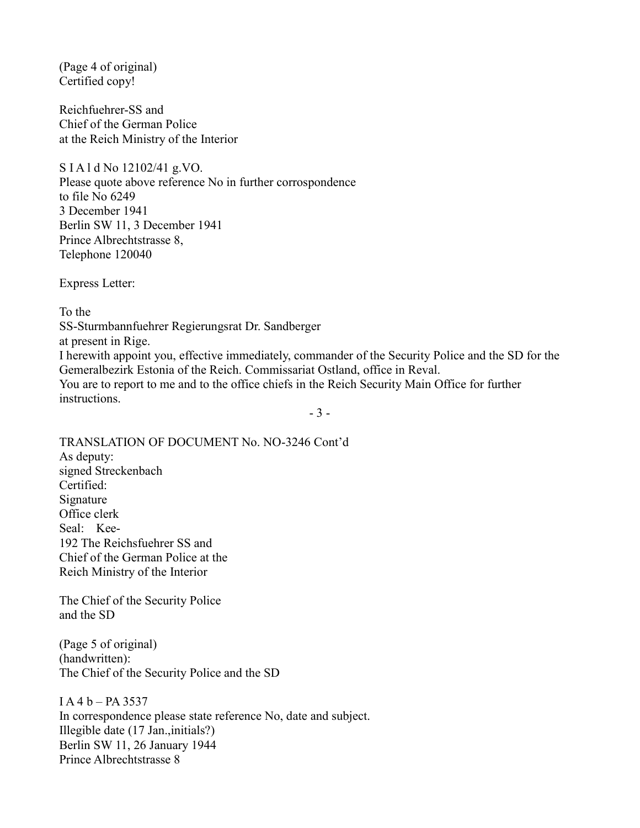(Page 4 of original) Certified copy!

Reichfuehrer-SS and Chief of the German Police at the Reich Ministry of the Interior

S I A l d No 12102/41 g.VO.

Please quote above reference No in further corrospondence to file No 6249 3 December 1941 Berlin SW 11, 3 December 1941 Prince Albrechtstrasse 8, Telephone 120040

Express Letter:

To the

SS-Sturmbannfuehrer Regierungsrat Dr. Sandberger

at present in Rige.

I herewith appoint you, effective immediately, commander of the Security Police and the SD for the Gemeralbezirk Estonia of the Reich. Commissariat Ostland, office in Reval. You are to report to me and to the office chiefs in the Reich Security Main Office for further

instructions.

- 3 -

TRANSLATION OF DOCUMENT No. NO-3246 Cont'd As deputy: signed Streckenbach Certified: Signature Office clerk Seal: Kee-192 The Reichsfuehrer SS and Chief of the German Police at the Reich Ministry of the Interior

The Chief of the Security Police and the SD

(Page 5 of original) (handwritten): The Chief of the Security Police and the SD

 $IA 4 b - PA 3537$ In correspondence please state reference No, date and subject. Illegible date (17 Jan.,initials?) Berlin SW 11, 26 January 1944 Prince Albrechtstrasse 8